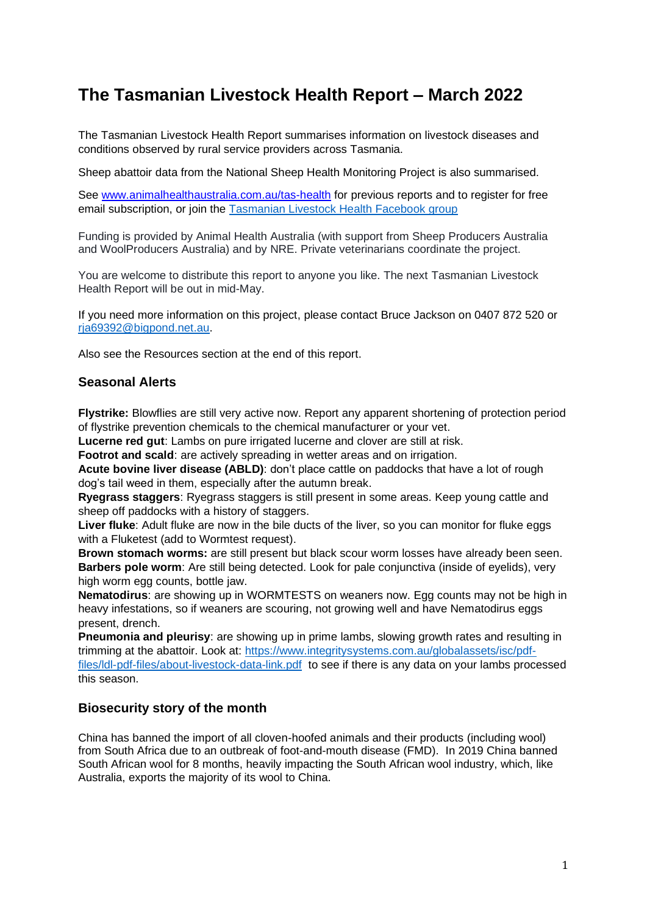# **The Tasmanian Livestock Health Report – March 2022**

The Tasmanian Livestock Health Report summarises information on livestock diseases and conditions observed by rural service providers across Tasmania.

Sheep abattoir data from the National Sheep Health Monitoring Project is also summarised.

See [www.animalhealthaustralia.com.au/tas-health](http://www.animalhealthaustralia.com.au/tas-health) for previous reports and to register for free email subscription, or join the [Tasmanian Livestock Health Facebook group](https://www.facebook.com/groups/771491260491135)

Funding is provided by Animal Health Australia (with support from Sheep Producers Australia and WoolProducers Australia) and by NRE. Private veterinarians coordinate the project.

You are welcome to distribute this report to anyone you like. The next Tasmanian Livestock Health Report will be out in mid-May.

If you need more information on this project, please contact Bruce Jackson on 0407 872 520 or [rja69392@bigpond.net.au.](mailto:rja69392@bigpond.net.au)

Also see the Resources section at the end of this report.

# **Seasonal Alerts**

**Flystrike:** Blowflies are still very active now. Report any apparent shortening of protection period of flystrike prevention chemicals to the chemical manufacturer or your vet.

**Lucerne red gut**: Lambs on pure irrigated lucerne and clover are still at risk.

**Footrot and scald:** are actively spreading in wetter areas and on irrigation.

**Acute bovine liver disease (ABLD)**: don't place cattle on paddocks that have a lot of rough dog's tail weed in them, especially after the autumn break.

**Ryegrass staggers**: Ryegrass staggers is still present in some areas. Keep young cattle and sheep off paddocks with a history of staggers.

**Liver fluke**: Adult fluke are now in the bile ducts of the liver, so you can monitor for fluke eggs with a Fluketest (add to Wormtest request).

**Brown stomach worms:** are still present but black scour worm losses have already been seen. **Barbers pole worm**: Are still being detected. Look for pale conjunctiva (inside of eyelids), very high worm egg counts, bottle jaw.

**Nematodirus**: are showing up in WORMTESTS on weaners now. Egg counts may not be high in heavy infestations, so if weaners are scouring, not growing well and have Nematodirus eggs present, drench.

**Pneumonia and pleurisy**: are showing up in prime lambs, slowing growth rates and resulting in trimming at the abattoir. Look at: [https://www.integritysystems.com.au/globalassets/isc/pdf](https://www.integritysystems.com.au/globalassets/isc/pdf-files/ldl-pdf-files/about-livestock-data-link.pdf)[files/ldl-pdf-files/about-livestock-data-link.pdf](https://www.integritysystems.com.au/globalassets/isc/pdf-files/ldl-pdf-files/about-livestock-data-link.pdf) to see if there is any data on your lambs processed this season.

# **Biosecurity story of the month**

China has banned the import of all cloven-hoofed animals and their products (including wool) from South Africa due to an outbreak of foot-and-mouth disease (FMD). In 2019 China banned South African wool for 8 months, heavily impacting the South African wool industry, which, like Australia, exports the majority of its wool to China.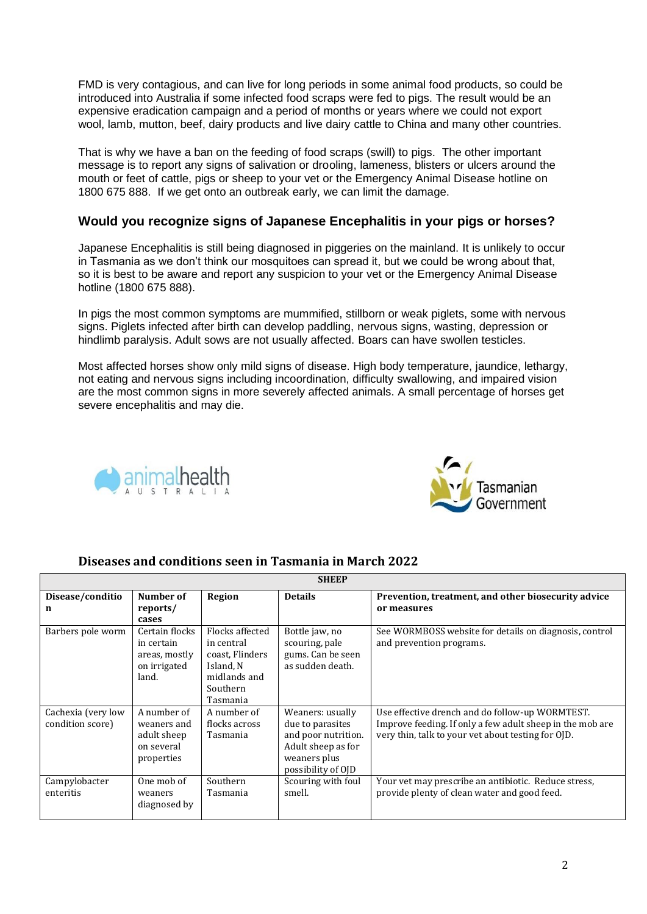FMD is very contagious, and can live for long periods in some animal food products, so could be introduced into Australia if some infected food scraps were fed to pigs. The result would be an expensive eradication campaign and a period of months or years where we could not export wool, lamb, mutton, beef, dairy products and live dairy cattle to China and many other countries.

That is why we have a ban on the feeding of food scraps (swill) to pigs. The other important message is to report any signs of salivation or drooling, lameness, blisters or ulcers around the mouth or feet of cattle, pigs or sheep to your vet or the Emergency Animal Disease hotline on 1800 675 888. If we get onto an outbreak early, we can limit the damage.

# **Would you recognize signs of Japanese Encephalitis in your pigs or horses?**

Japanese Encephalitis is still being diagnosed in piggeries on the mainland. It is unlikely to occur in Tasmania as we don't think our mosquitoes can spread it, but we could be wrong about that, so it is best to be aware and report any suspicion to your vet or the Emergency Animal Disease hotline (1800 675 888).

In pigs the most common symptoms are mummified, stillborn or weak piglets, some with nervous signs. Piglets infected after birth can develop paddling, nervous signs, wasting, depression or hindlimb paralysis. Adult sows are not usually affected. Boars can have swollen testicles.

Most affected horses show only mild signs of disease. High body temperature, jaundice, lethargy, not eating and nervous signs including incoordination, difficulty swallowing, and impaired vision are the most common signs in more severely affected animals. A small percentage of horses get severe encephalitis and may die.





# **Diseases and conditions seen in Tasmania in March 2022**

| <b>SHEEP</b>                           |                                                                        |                                                                                                       |                                                                                                                         |                                                                                                                                                                    |  |  |
|----------------------------------------|------------------------------------------------------------------------|-------------------------------------------------------------------------------------------------------|-------------------------------------------------------------------------------------------------------------------------|--------------------------------------------------------------------------------------------------------------------------------------------------------------------|--|--|
| Disease/conditio<br>n                  | Number of<br>reports/<br>cases                                         | Region                                                                                                | <b>Details</b>                                                                                                          | Prevention, treatment, and other biosecurity advice<br>or measures                                                                                                 |  |  |
| Barbers pole worm                      | Certain flocks<br>in certain<br>areas, mostly<br>on irrigated<br>land. | Flocks affected<br>in central<br>coast, Flinders<br>Island. N<br>midlands and<br>Southern<br>Tasmania | Bottle jaw, no<br>scouring, pale<br>gums. Can be seen<br>as sudden death.                                               | See WORMBOSS website for details on diagnosis, control<br>and prevention programs.                                                                                 |  |  |
| Cachexia (very low<br>condition score) | A number of<br>weaners and<br>adult sheep<br>on several<br>properties  | A number of<br>flocks across<br>Tasmania                                                              | Weaners: usually<br>due to parasites<br>and poor nutrition.<br>Adult sheep as for<br>weaners plus<br>possibility of OJD | Use effective drench and do follow-up WORMTEST.<br>Improve feeding. If only a few adult sheep in the mob are<br>very thin, talk to your vet about testing for OJD. |  |  |
| Campylobacter<br>enteritis             | One mob of<br>weaners<br>diagnosed by                                  | Southern<br>Tasmania                                                                                  | Scouring with foul<br>smell.                                                                                            | Your vet may prescribe an antibiotic. Reduce stress,<br>provide plenty of clean water and good feed.                                                               |  |  |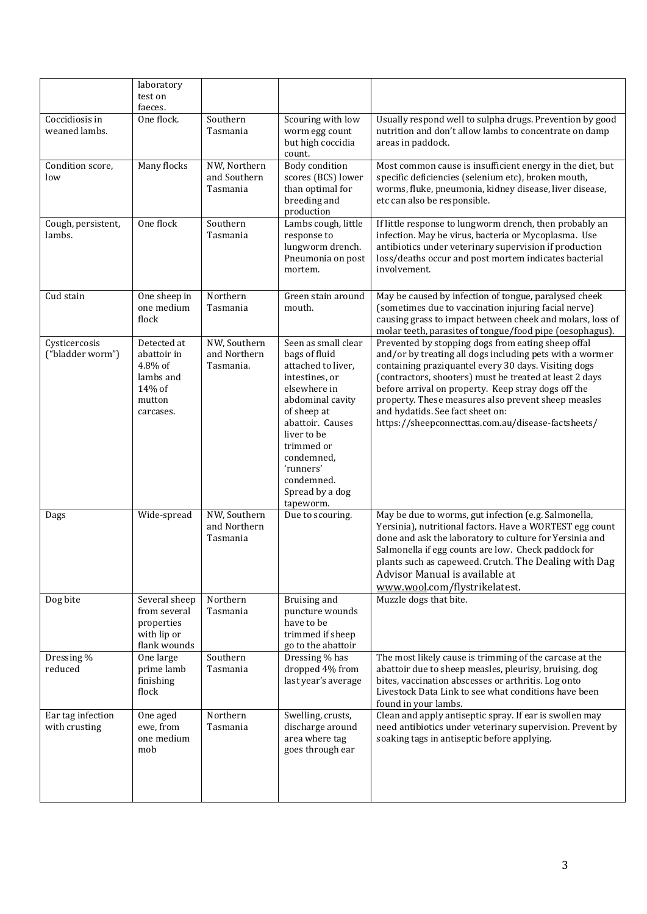|                                    | laboratory<br>test on<br>faeces.                                                    |                                           |                                                                                                                                                                                                                                                           |                                                                                                                                                                                                                                                                                                                                                                                                                                           |
|------------------------------------|-------------------------------------------------------------------------------------|-------------------------------------------|-----------------------------------------------------------------------------------------------------------------------------------------------------------------------------------------------------------------------------------------------------------|-------------------------------------------------------------------------------------------------------------------------------------------------------------------------------------------------------------------------------------------------------------------------------------------------------------------------------------------------------------------------------------------------------------------------------------------|
| Coccidiosis in<br>weaned lambs.    | One flock.                                                                          | Southern<br>Tasmania                      | Scouring with low<br>worm egg count<br>but high coccidia<br>count.                                                                                                                                                                                        | Usually respond well to sulpha drugs. Prevention by good<br>nutrition and don't allow lambs to concentrate on damp<br>areas in paddock.                                                                                                                                                                                                                                                                                                   |
| Condition score,<br>low            | Many flocks                                                                         | NW, Northern<br>and Southern<br>Tasmania  | Body condition<br>scores (BCS) lower<br>than optimal for<br>breeding and<br>production                                                                                                                                                                    | Most common cause is insufficient energy in the diet, but<br>specific deficiencies (selenium etc), broken mouth,<br>worms, fluke, pneumonia, kidney disease, liver disease,<br>etc can also be responsible.                                                                                                                                                                                                                               |
| Cough, persistent,<br>lambs.       | One flock                                                                           | Southern<br>Tasmania                      | Lambs cough, little<br>response to<br>lungworm drench.<br>Pneumonia on post<br>mortem.                                                                                                                                                                    | If little response to lungworm drench, then probably an<br>infection. May be virus, bacteria or Mycoplasma. Use<br>antibiotics under veterinary supervision if production<br>loss/deaths occur and post mortem indicates bacterial<br>involvement.                                                                                                                                                                                        |
| Cud stain                          | One sheep in<br>one medium<br>flock                                                 | Northern<br>Tasmania                      | Green stain around<br>mouth.                                                                                                                                                                                                                              | May be caused by infection of tongue, paralysed cheek<br>(sometimes due to vaccination injuring facial nerve)<br>causing grass to impact between cheek and molars, loss of<br>molar teeth, parasites of tongue/food pipe (oesophagus).                                                                                                                                                                                                    |
| Cysticercosis<br>("bladder worm")  | Detected at<br>abattoir in<br>4.8% of<br>lambs and<br>14% of<br>mutton<br>carcases. | NW, Southern<br>and Northern<br>Tasmania. | Seen as small clear<br>bags of fluid<br>attached to liver,<br>intestines, or<br>elsewhere in<br>abdominal cavity<br>of sheep at<br>abattoir. Causes<br>liver to be<br>trimmed or<br>condemned,<br>'runners'<br>condemned.<br>Spread by a dog<br>tapeworm. | Prevented by stopping dogs from eating sheep offal<br>and/or by treating all dogs including pets with a wormer<br>containing praziquantel every 30 days. Visiting dogs<br>(contractors, shooters) must be treated at least 2 days<br>before arrival on property. Keep stray dogs off the<br>property. These measures also prevent sheep measles<br>and hydatids. See fact sheet on:<br>https://sheepconnecttas.com.au/disease-factsheets/ |
| Dags                               | Wide-spread                                                                         | NW, Southern<br>and Northern<br>Tasmania  | Due to scouring.                                                                                                                                                                                                                                          | May be due to worms, gut infection (e.g. Salmonella,<br>Yersinia), nutritional factors. Have a WORTEST egg count<br>done and ask the laboratory to culture for Yersinia and<br>Salmonella if egg counts are low. Check paddock for<br>plants such as capeweed. Crutch. The Dealing with Dag<br>Advisor Manual is available at<br>www.wool.com/flystrikelatest.                                                                            |
| Dog bite                           | Several sheep<br>from several<br>properties<br>with lip or<br>flank wounds          | Northern<br>Tasmania                      | Bruising and<br>puncture wounds<br>have to be<br>trimmed if sheep<br>go to the abattoir                                                                                                                                                                   | Muzzle dogs that bite.                                                                                                                                                                                                                                                                                                                                                                                                                    |
| Dressing %<br>reduced              | One large<br>prime lamb<br>finishing<br>flock                                       | Southern<br>Tasmania                      | Dressing % has<br>dropped 4% from<br>last year's average                                                                                                                                                                                                  | The most likely cause is trimming of the carcase at the<br>abattoir due to sheep measles, pleurisy, bruising, dog<br>bites, vaccination abscesses or arthritis. Log onto<br>Livestock Data Link to see what conditions have been<br>found in your lambs.                                                                                                                                                                                  |
| Ear tag infection<br>with crusting | One aged<br>ewe, from<br>one medium<br>mob                                          | Northern<br>Tasmania                      | Swelling, crusts,<br>discharge around<br>area where tag<br>goes through ear                                                                                                                                                                               | Clean and apply antiseptic spray. If ear is swollen may<br>need antibiotics under veterinary supervision. Prevent by<br>soaking tags in antiseptic before applying.                                                                                                                                                                                                                                                                       |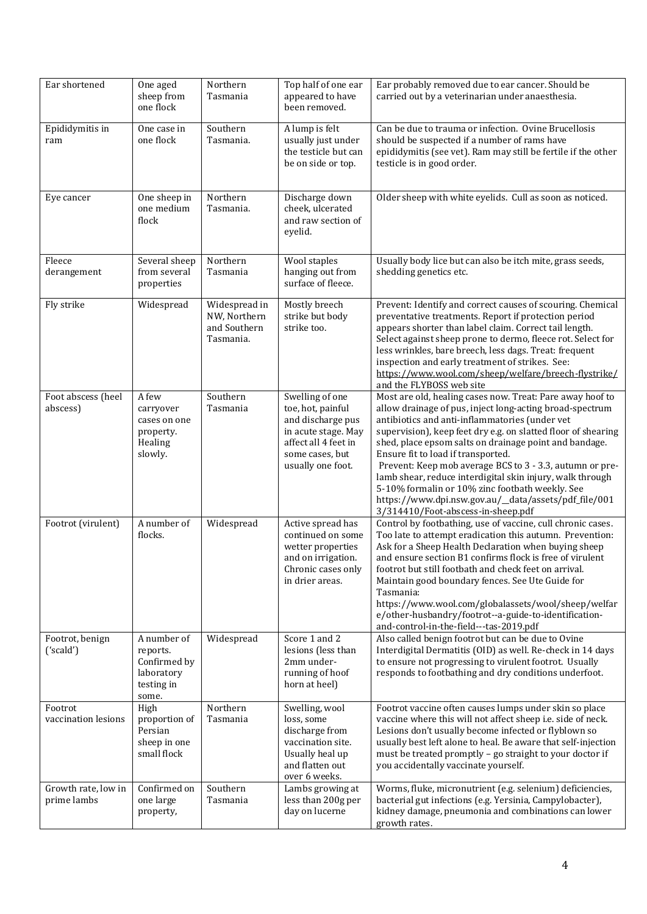| Ear shortened                      | One aged<br>sheep from<br>one flock                                          | Northern<br>Tasmania                                       | Top half of one ear<br>appeared to have<br>been removed.                                                                                         | Ear probably removed due to ear cancer. Should be<br>carried out by a veterinarian under anaesthesia.                                                                                                                                                                                                                                                                                                                                                                                                                                                                                                              |
|------------------------------------|------------------------------------------------------------------------------|------------------------------------------------------------|--------------------------------------------------------------------------------------------------------------------------------------------------|--------------------------------------------------------------------------------------------------------------------------------------------------------------------------------------------------------------------------------------------------------------------------------------------------------------------------------------------------------------------------------------------------------------------------------------------------------------------------------------------------------------------------------------------------------------------------------------------------------------------|
| Epididymitis in<br>ram             | One case in<br>one flock                                                     | Southern<br>Tasmania.                                      | A lump is felt<br>usually just under<br>the testicle but can<br>be on side or top.                                                               | Can be due to trauma or infection. Ovine Brucellosis<br>should be suspected if a number of rams have<br>epididymitis (see vet). Ram may still be fertile if the other<br>testicle is in good order.                                                                                                                                                                                                                                                                                                                                                                                                                |
| Eye cancer                         | One sheep in<br>one medium<br>flock                                          | Northern<br>Tasmania.                                      | Discharge down<br>cheek, ulcerated<br>and raw section of<br>eyelid.                                                                              | Older sheep with white eyelids. Cull as soon as noticed.                                                                                                                                                                                                                                                                                                                                                                                                                                                                                                                                                           |
| Fleece<br>derangement              | Several sheep<br>from several<br>properties                                  | Northern<br>Tasmania                                       | Wool staples<br>hanging out from<br>surface of fleece.                                                                                           | Usually body lice but can also be itch mite, grass seeds,<br>shedding genetics etc.                                                                                                                                                                                                                                                                                                                                                                                                                                                                                                                                |
| Fly strike                         | Widespread                                                                   | Widespread in<br>NW, Northern<br>and Southern<br>Tasmania. | Mostly breech<br>strike but body<br>strike too.                                                                                                  | Prevent: Identify and correct causes of scouring. Chemical<br>preventative treatments. Report if protection period<br>appears shorter than label claim. Correct tail length.<br>Select against sheep prone to dermo, fleece rot. Select for<br>less wrinkles, bare breech, less dags. Treat: frequent<br>inspection and early treatment of strikes. See:<br>https://www.wool.com/sheep/welfare/breech-flystrike/<br>and the FLYBOSS web site                                                                                                                                                                       |
| Foot abscess (heel<br>abscess)     | A few<br>carryover<br>cases on one<br>property.<br>Healing<br>slowly.        | Southern<br>Tasmania                                       | Swelling of one<br>toe, hot, painful<br>and discharge pus<br>in acute stage. May<br>affect all 4 feet in<br>some cases, but<br>usually one foot. | Most are old, healing cases now. Treat: Pare away hoof to<br>allow drainage of pus, inject long-acting broad-spectrum<br>antibiotics and anti-inflammatories (under vet<br>supervision), keep feet dry e.g. on slatted floor of shearing<br>shed, place epsom salts on drainage point and bandage.<br>Ensure fit to load if transported.<br>Prevent: Keep mob average BCS to 3 - 3.3, autumn or pre-<br>lamb shear, reduce interdigital skin injury, walk through<br>5-10% formalin or 10% zinc footbath weekly. See<br>https://www.dpi.nsw.gov.au/_data/assets/pdf_file/001<br>3/314410/Foot-abscess-in-sheep.pdf |
| Footrot (virulent)                 | A number of<br>flocks.                                                       | Widespread                                                 | Active spread has<br>continued on some<br>wetter properties<br>and on irrigation.<br>Chronic cases only<br>in drier areas.                       | Control by footbathing, use of vaccine, cull chronic cases.<br>Too late to attempt eradication this autumn. Prevention:<br>Ask for a Sheep Health Declaration when buying sheep<br>and ensure section B1 confirms flock is free of virulent<br>footrot but still footbath and check feet on arrival.<br>Maintain good boundary fences. See Ute Guide for<br>Tasmania:<br>https://www.wool.com/globalassets/wool/sheep/welfar<br>e/other-husbandry/footrot--a-guide-to-identification-<br>and-control-in-the-field---tas-2019.pdf                                                                                   |
| Footrot, benign<br>('scald')       | A number of<br>reports.<br>Confirmed by<br>laboratory<br>testing in<br>some. | Widespread                                                 | Score 1 and 2<br>lesions (less than<br>2mm under-<br>running of hoof<br>horn at heel)                                                            | Also called benign footrot but can be due to Ovine<br>Interdigital Dermatitis (OID) as well. Re-check in 14 days<br>to ensure not progressing to virulent footrot. Usually<br>responds to footbathing and dry conditions underfoot.                                                                                                                                                                                                                                                                                                                                                                                |
| Footrot<br>vaccination lesions     | High<br>proportion of<br>Persian<br>sheep in one<br>small flock              | Northern<br>Tasmania                                       | Swelling, wool<br>loss, some<br>discharge from<br>vaccination site.<br>Usually heal up<br>and flatten out<br>over 6 weeks.                       | Footrot vaccine often causes lumps under skin so place<br>vaccine where this will not affect sheep i.e. side of neck.<br>Lesions don't usually become infected or flyblown so<br>usually best left alone to heal. Be aware that self-injection<br>must be treated promptly - go straight to your doctor if<br>you accidentally vaccinate yourself.                                                                                                                                                                                                                                                                 |
| Growth rate, low in<br>prime lambs | Confirmed on<br>one large<br>property,                                       | Southern<br>Tasmania                                       | Lambs growing at<br>less than 200g per<br>day on lucerne                                                                                         | Worms, fluke, micronutrient (e.g. selenium) deficiencies,<br>bacterial gut infections (e.g. Yersinia, Campylobacter),<br>kidney damage, pneumonia and combinations can lower<br>growth rates.                                                                                                                                                                                                                                                                                                                                                                                                                      |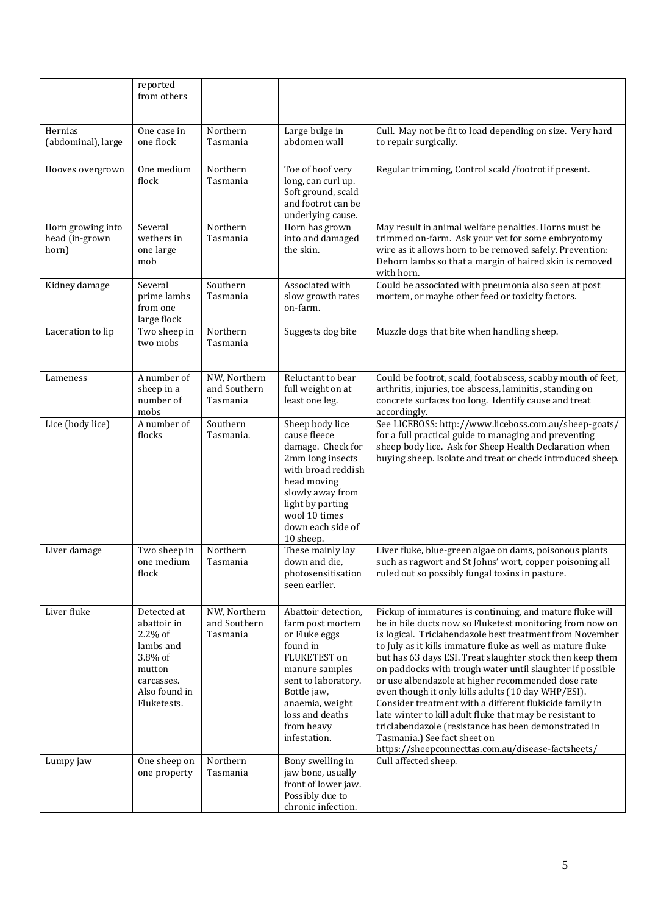|                                              | reported<br>from others                                                                                                  |                                          |                                                                                                                                                                                                                  |                                                                                                                                                                                                                                                                                                                                                                                                                                                                                                                                                                                                                                                                                                                                                           |
|----------------------------------------------|--------------------------------------------------------------------------------------------------------------------------|------------------------------------------|------------------------------------------------------------------------------------------------------------------------------------------------------------------------------------------------------------------|-----------------------------------------------------------------------------------------------------------------------------------------------------------------------------------------------------------------------------------------------------------------------------------------------------------------------------------------------------------------------------------------------------------------------------------------------------------------------------------------------------------------------------------------------------------------------------------------------------------------------------------------------------------------------------------------------------------------------------------------------------------|
| Hernias<br>(abdominal), large                | One case in<br>one flock                                                                                                 | Northern<br>Tasmania                     | Large bulge in<br>abdomen wall                                                                                                                                                                                   | Cull. May not be fit to load depending on size. Very hard<br>to repair surgically.                                                                                                                                                                                                                                                                                                                                                                                                                                                                                                                                                                                                                                                                        |
| Hooves overgrown                             | One medium<br>flock                                                                                                      | Northern<br>Tasmania                     | Toe of hoof very<br>long, can curl up.<br>Soft ground, scald<br>and footrot can be<br>underlying cause.                                                                                                          | Regular trimming, Control scald /footrot if present.                                                                                                                                                                                                                                                                                                                                                                                                                                                                                                                                                                                                                                                                                                      |
| Horn growing into<br>head (in-grown<br>horn) | Several<br>wethers in<br>one large<br>mob                                                                                | Northern<br>Tasmania                     | Horn has grown<br>into and damaged<br>the skin.                                                                                                                                                                  | May result in animal welfare penalties. Horns must be<br>trimmed on-farm. Ask your vet for some embryotomy<br>wire as it allows horn to be removed safely. Prevention:<br>Dehorn lambs so that a margin of haired skin is removed<br>with horn.                                                                                                                                                                                                                                                                                                                                                                                                                                                                                                           |
| Kidney damage                                | Several<br>prime lambs<br>from one<br>large flock                                                                        | Southern<br>Tasmania                     | Associated with<br>slow growth rates<br>on-farm.                                                                                                                                                                 | Could be associated with pneumonia also seen at post<br>mortem, or maybe other feed or toxicity factors.                                                                                                                                                                                                                                                                                                                                                                                                                                                                                                                                                                                                                                                  |
| Laceration to lip                            | Two sheep in<br>two mobs                                                                                                 | Northern<br>Tasmania                     | Suggests dog bite                                                                                                                                                                                                | Muzzle dogs that bite when handling sheep.                                                                                                                                                                                                                                                                                                                                                                                                                                                                                                                                                                                                                                                                                                                |
| Lameness                                     | A number of<br>sheep in a<br>number of<br>mobs                                                                           | NW, Northern<br>and Southern<br>Tasmania | Reluctant to bear<br>full weight on at<br>least one leg.                                                                                                                                                         | Could be footrot, scald, foot abscess, scabby mouth of feet,<br>arthritis, injuries, toe abscess, laminitis, standing on<br>concrete surfaces too long. Identify cause and treat<br>accordingly.                                                                                                                                                                                                                                                                                                                                                                                                                                                                                                                                                          |
| Lice (body lice)                             | A number of<br>flocks                                                                                                    | Southern<br>Tasmania.                    | Sheep body lice<br>cause fleece<br>damage. Check for<br>2mm long insects<br>with broad reddish<br>head moving<br>slowly away from<br>light by parting<br>wool 10 times<br>down each side of<br>10 sheep.         | See LICEBOSS: http://www.liceboss.com.au/sheep-goats/<br>for a full practical guide to managing and preventing<br>sheep body lice. Ask for Sheep Health Declaration when<br>buying sheep. Isolate and treat or check introduced sheep.                                                                                                                                                                                                                                                                                                                                                                                                                                                                                                                    |
| Liver damage                                 | Two sheep in<br>one medium<br>flock                                                                                      | Northern<br>Tasmania                     | These mainly lay<br>down and die,<br>photosensitisation<br>seen earlier.                                                                                                                                         | Liver fluke, blue-green algae on dams, poisonous plants<br>such as ragwort and St Johns' wort, copper poisoning all<br>ruled out so possibly fungal toxins in pasture.                                                                                                                                                                                                                                                                                                                                                                                                                                                                                                                                                                                    |
| Liver fluke                                  | Detected at<br>abattoir in<br>$2.2\%$ of<br>lambs and<br>3.8% of<br>mutton<br>carcasses.<br>Also found in<br>Fluketests. | NW, Northern<br>and Southern<br>Tasmania | Abattoir detection,<br>farm post mortem<br>or Fluke eggs<br>found in<br>FLUKETEST on<br>manure samples<br>sent to laboratory.<br>Bottle jaw,<br>anaemia, weight<br>loss and deaths<br>from heavy<br>infestation. | Pickup of immatures is continuing, and mature fluke will<br>be in bile ducts now so Fluketest monitoring from now on<br>is logical. Triclabendazole best treatment from November<br>to July as it kills immature fluke as well as mature fluke<br>but has 63 days ESI. Treat slaughter stock then keep them<br>on paddocks with trough water until slaughter if possible<br>or use albendazole at higher recommended dose rate<br>even though it only kills adults (10 day WHP/ESI).<br>Consider treatment with a different flukicide family in<br>late winter to kill adult fluke that may be resistant to<br>triclabendazole (resistance has been demonstrated in<br>Tasmania.) See fact sheet on<br>https://sheepconnecttas.com.au/disease-factsheets/ |
| Lumpy jaw                                    | One sheep on<br>one property                                                                                             | Northern<br>Tasmania                     | Bony swelling in<br>jaw bone, usually<br>front of lower jaw.<br>Possibly due to<br>chronic infection.                                                                                                            | Cull affected sheep.                                                                                                                                                                                                                                                                                                                                                                                                                                                                                                                                                                                                                                                                                                                                      |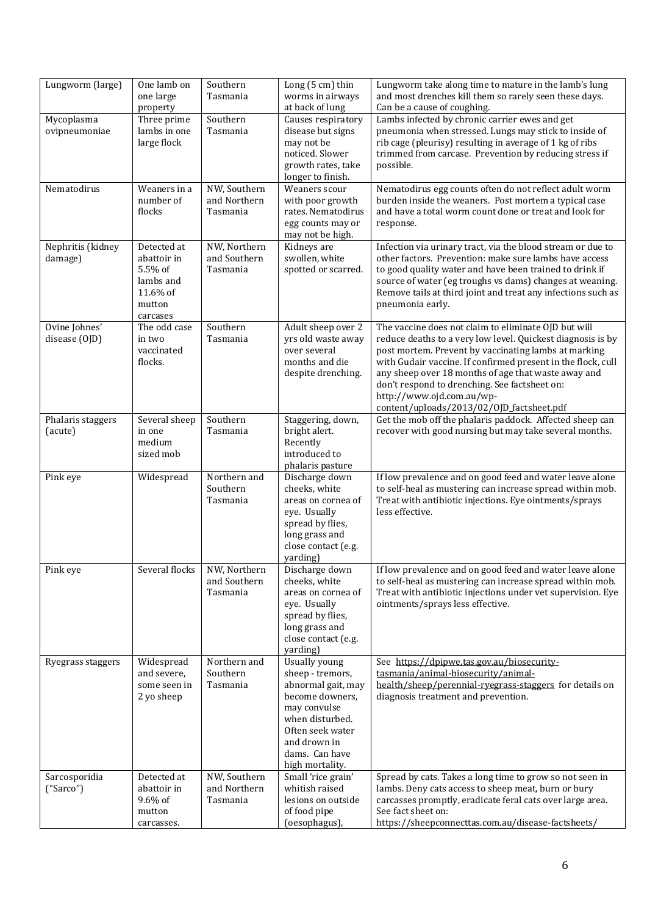| Lungworm (large)               | One lamb on<br>one large<br>property                                                 | Southern<br>Tasmania                     | Long $(5 \text{ cm})$ thin<br>worms in airways<br>at back of lung                                                                                                                             | Lungworm take along time to mature in the lamb's lung<br>and most drenches kill them so rarely seen these days.<br>Can be a cause of coughing.                                                                                                                                                                                                                                                                                |
|--------------------------------|--------------------------------------------------------------------------------------|------------------------------------------|-----------------------------------------------------------------------------------------------------------------------------------------------------------------------------------------------|-------------------------------------------------------------------------------------------------------------------------------------------------------------------------------------------------------------------------------------------------------------------------------------------------------------------------------------------------------------------------------------------------------------------------------|
| Mycoplasma<br>ovipneumoniae    | Three prime<br>lambs in one<br>large flock                                           | Southern<br>Tasmania                     | Causes respiratory<br>disease but signs<br>may not be<br>noticed. Slower<br>growth rates, take<br>longer to finish.                                                                           | Lambs infected by chronic carrier ewes and get<br>pneumonia when stressed. Lungs may stick to inside of<br>rib cage (pleurisy) resulting in average of 1 kg of ribs<br>trimmed from carcase. Prevention by reducing stress if<br>possible.                                                                                                                                                                                    |
| Nematodirus                    | Weaners in a<br>number of<br>flocks                                                  | NW, Southern<br>and Northern<br>Tasmania | Weaners scour<br>with poor growth<br>rates. Nematodirus<br>egg counts may or<br>may not be high.                                                                                              | Nematodirus egg counts often do not reflect adult worm<br>burden inside the weaners. Post mortem a typical case<br>and have a total worm count done or treat and look for<br>response.                                                                                                                                                                                                                                        |
| Nephritis (kidney<br>damage)   | Detected at<br>abattoir in<br>5.5% of<br>lambs and<br>11.6% of<br>mutton<br>carcases | NW, Northern<br>and Southern<br>Tasmania | Kidneys are<br>swollen, white<br>spotted or scarred.                                                                                                                                          | Infection via urinary tract, via the blood stream or due to<br>other factors. Prevention: make sure lambs have access<br>to good quality water and have been trained to drink if<br>source of water (eg troughs vs dams) changes at weaning.<br>Remove tails at third joint and treat any infections such as<br>pneumonia early.                                                                                              |
| Ovine Johnes'<br>disease (OJD) | The odd case<br>in two<br>vaccinated<br>flocks.                                      | Southern<br>Tasmania                     | Adult sheep over 2<br>yrs old waste away<br>over several<br>months and die<br>despite drenching.                                                                                              | The vaccine does not claim to eliminate OJD but will<br>reduce deaths to a very low level. Quickest diagnosis is by<br>post mortem. Prevent by vaccinating lambs at marking<br>with Gudair vaccine. If confirmed present in the flock, cull<br>any sheep over 18 months of age that waste away and<br>don't respond to drenching. See factsheet on:<br>http://www.ojd.com.au/wp-<br>content/uploads/2013/02/0JD_factsheet.pdf |
| Phalaris staggers<br>(acute)   | Several sheep<br>in one<br>medium<br>sized mob                                       | Southern<br>Tasmania                     | Staggering, down,<br>bright alert.<br>Recently<br>introduced to<br>phalaris pasture                                                                                                           | Get the mob off the phalaris paddock. Affected sheep can<br>recover with good nursing but may take several months.                                                                                                                                                                                                                                                                                                            |
| Pink eye                       | Widespread                                                                           | Northern and<br>Southern<br>Tasmania     | Discharge down<br>cheeks, white<br>areas on cornea of<br>eye. Usually<br>spread by flies,<br>long grass and<br>close contact (e.g.<br>yarding)                                                | If low prevalence and on good feed and water leave alone<br>to self-heal as mustering can increase spread within mob.<br>Treat with antibiotic injections. Eye ointments/sprays<br>less effective.                                                                                                                                                                                                                            |
| Pink eye                       | Several flocks                                                                       | NW, Northern<br>and Southern<br>Tasmania | Discharge down<br>cheeks, white<br>areas on cornea of<br>eye. Usually<br>spread by flies,<br>long grass and<br>close contact (e.g.<br>yarding)                                                | If low prevalence and on good feed and water leave alone<br>to self-heal as mustering can increase spread within mob.<br>Treat with antibiotic injections under vet supervision. Eye<br>ointments/sprays less effective.                                                                                                                                                                                                      |
| Ryegrass staggers              | Widespread<br>and severe,<br>some seen in<br>2 yo sheep                              | Northern and<br>Southern<br>Tasmania     | <b>Usually young</b><br>sheep - tremors,<br>abnormal gait, may<br>become downers,<br>may convulse<br>when disturbed.<br>Often seek water<br>and drown in<br>dams. Can have<br>high mortality. | See https://dpipwe.tas.gov.au/biosecurity-<br>tasmania/animal-biosecurity/animal-<br>health/sheep/perennial-ryegrass-staggers for details on<br>diagnosis treatment and prevention.                                                                                                                                                                                                                                           |
| Sarcosporidia<br>("Sarco")     | Detected at<br>abattoir in<br>9.6% of<br>mutton<br>carcasses.                        | NW, Southern<br>and Northern<br>Tasmania | Small 'rice grain'<br>whitish raised<br>lesions on outside<br>of food pipe<br>(oesophagus),                                                                                                   | Spread by cats. Takes a long time to grow so not seen in<br>lambs. Deny cats access to sheep meat, burn or bury<br>carcasses promptly, eradicate feral cats over large area.<br>See fact sheet on:<br>https://sheepconnecttas.com.au/disease-factsheets/                                                                                                                                                                      |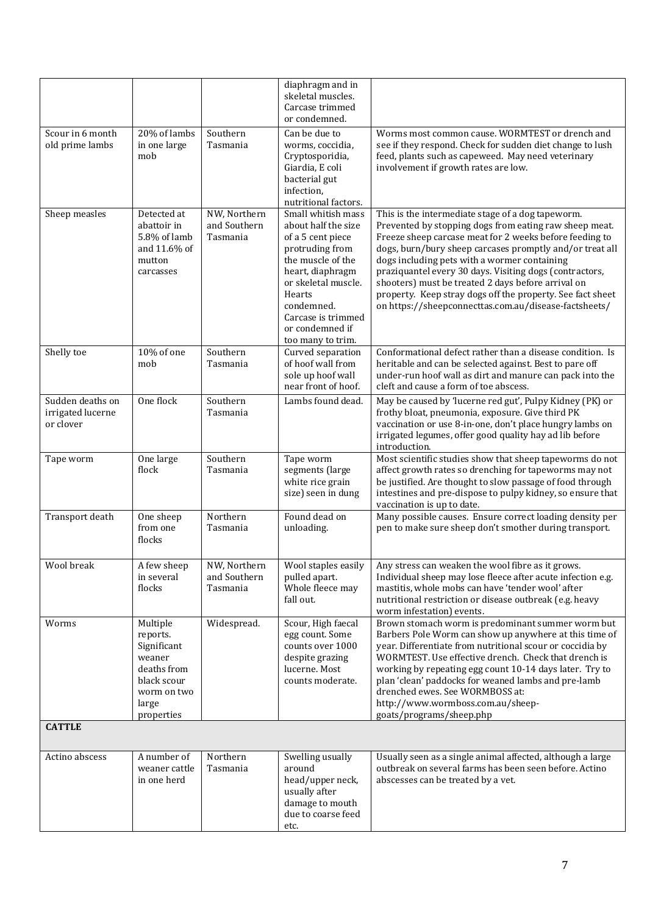|                                                    |                                                                                                                   |                                          | diaphragm and in<br>skeletal muscles.<br>Carcase trimmed                                                                                                                                                                                |                                                                                                                                                                                                                                                                                                                                                                                                                                                                                                                            |
|----------------------------------------------------|-------------------------------------------------------------------------------------------------------------------|------------------------------------------|-----------------------------------------------------------------------------------------------------------------------------------------------------------------------------------------------------------------------------------------|----------------------------------------------------------------------------------------------------------------------------------------------------------------------------------------------------------------------------------------------------------------------------------------------------------------------------------------------------------------------------------------------------------------------------------------------------------------------------------------------------------------------------|
|                                                    |                                                                                                                   |                                          | or condemned.                                                                                                                                                                                                                           |                                                                                                                                                                                                                                                                                                                                                                                                                                                                                                                            |
| Scour in 6 month<br>old prime lambs                | 20% of lambs<br>in one large<br>mob                                                                               | Southern<br>Tasmania                     | Can be due to<br>worms, coccidia,<br>Cryptosporidia,<br>Giardia, E coli<br>bacterial gut<br>infection,<br>nutritional factors.                                                                                                          | Worms most common cause. WORMTEST or drench and<br>see if they respond. Check for sudden diet change to lush<br>feed, plants such as capeweed. May need veterinary<br>involvement if growth rates are low.                                                                                                                                                                                                                                                                                                                 |
| Sheep measles                                      | Detected at<br>abattoir in<br>5.8% of lamb<br>and 11.6% of<br>mutton<br>carcasses                                 | NW, Northern<br>and Southern<br>Tasmania | Small whitish mass<br>about half the size<br>of a 5 cent piece<br>protruding from<br>the muscle of the<br>heart, diaphragm<br>or skeletal muscle.<br>Hearts<br>condemned.<br>Carcase is trimmed<br>or condemned if<br>too many to trim. | This is the intermediate stage of a dog tapeworm.<br>Prevented by stopping dogs from eating raw sheep meat.<br>Freeze sheep carcase meat for 2 weeks before feeding to<br>dogs, burn/bury sheep carcases promptly and/or treat all<br>dogs including pets with a wormer containing<br>praziquantel every 30 days. Visiting dogs (contractors,<br>shooters) must be treated 2 days before arrival on<br>property. Keep stray dogs off the property. See fact sheet<br>on https://sheepconnecttas.com.au/disease-factsheets/ |
| Shelly toe                                         | 10% of one<br>mob                                                                                                 | Southern<br>Tasmania                     | Curved separation<br>of hoof wall from<br>sole up hoof wall<br>near front of hoof.                                                                                                                                                      | Conformational defect rather than a disease condition. Is<br>heritable and can be selected against. Best to pare off<br>under-run hoof wall as dirt and manure can pack into the<br>cleft and cause a form of toe abscess.                                                                                                                                                                                                                                                                                                 |
| Sudden deaths on<br>irrigated lucerne<br>or clover | One flock                                                                                                         | Southern<br>Tasmania                     | Lambs found dead.                                                                                                                                                                                                                       | May be caused by 'lucerne red gut', Pulpy Kidney (PK) or<br>frothy bloat, pneumonia, exposure. Give third PK<br>vaccination or use 8-in-one, don't place hungry lambs on<br>irrigated legumes, offer good quality hay ad lib before<br>introduction.                                                                                                                                                                                                                                                                       |
| Tape worm                                          | One large<br>flock                                                                                                | Southern<br>Tasmania                     | Tape worm<br>segments (large<br>white rice grain<br>size) seen in dung                                                                                                                                                                  | Most scientific studies show that sheep tapeworms do not<br>affect growth rates so drenching for tapeworms may not<br>be justified. Are thought to slow passage of food through<br>intestines and pre-dispose to pulpy kidney, so ensure that<br>vaccination is up to date.                                                                                                                                                                                                                                                |
| Transport death                                    | One sheep<br>from one<br>flocks                                                                                   | Northern<br>Tasmania                     | Found dead on<br>unloading.                                                                                                                                                                                                             | Many possible causes. Ensure correct loading density per<br>pen to make sure sheep don't smother during transport.                                                                                                                                                                                                                                                                                                                                                                                                         |
| Wool break                                         | A few sheep<br>in several<br>flocks                                                                               | NW, Northern<br>and Southern<br>Tasmania | Wool staples easily<br>pulled apart.<br>Whole fleece may<br>fall out.                                                                                                                                                                   | Any stress can weaken the wool fibre as it grows.<br>Individual sheep may lose fleece after acute infection e.g.<br>mastitis, whole mobs can have 'tender wool' after<br>nutritional restriction or disease outbreak (e.g. heavy<br>worm infestation) events.                                                                                                                                                                                                                                                              |
| Worms                                              | Multiple<br>reports.<br>Significant<br>weaner<br>deaths from<br>black scour<br>worm on two<br>large<br>properties | Widespread.                              | Scour, High faecal<br>egg count. Some<br>counts over 1000<br>despite grazing<br>lucerne. Most<br>counts moderate.                                                                                                                       | Brown stomach worm is predominant summer worm but<br>Barbers Pole Worm can show up anywhere at this time of<br>year. Differentiate from nutritional scour or coccidia by<br>WORMTEST. Use effective drench. Check that drench is<br>working by repeating egg count 10-14 days later. Try to<br>plan 'clean' paddocks for weaned lambs and pre-lamb<br>drenched ewes. See WORMBOSS at:<br>http://www.wormboss.com.au/sheep-<br>goats/programs/sheep.php                                                                     |
| <b>CATTLE</b>                                      |                                                                                                                   |                                          |                                                                                                                                                                                                                                         |                                                                                                                                                                                                                                                                                                                                                                                                                                                                                                                            |
| Actino abscess                                     | A number of<br>weaner cattle<br>in one herd                                                                       | Northern<br>Tasmania                     | Swelling usually<br>around<br>head/upper neck,<br>usually after<br>damage to mouth<br>due to coarse feed<br>etc.                                                                                                                        | Usually seen as a single animal affected, although a large<br>outbreak on several farms has been seen before. Actino<br>abscesses can be treated by a vet.                                                                                                                                                                                                                                                                                                                                                                 |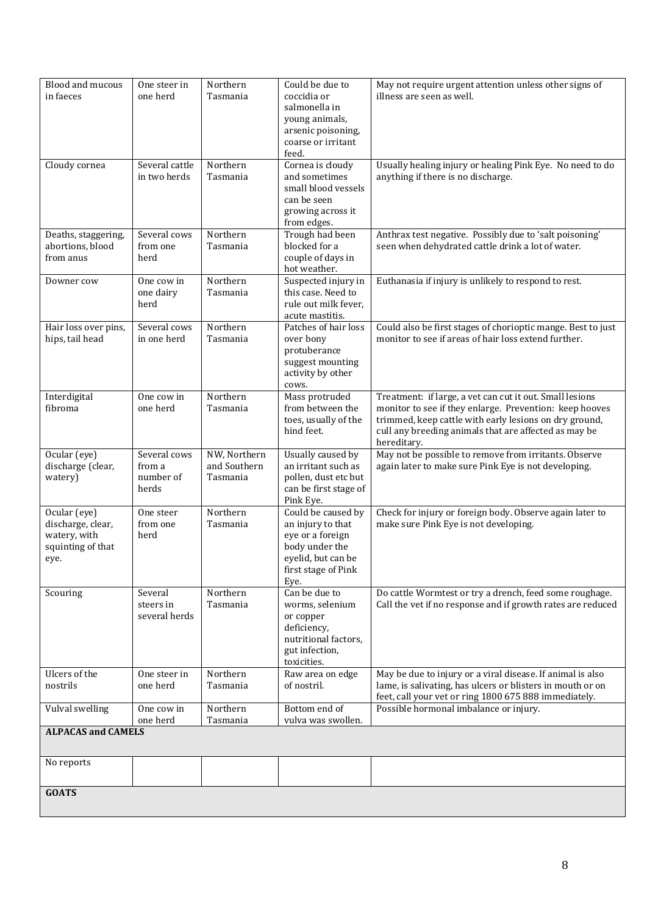| Blood and mucous<br>in faeces                                                  | One steer in<br>one herd                     | Northern<br>Tasmania                     | Could be due to<br>coccidia or<br>salmonella in<br>young animals,<br>arsenic poisoning,<br>coarse or irritant                      | May not require urgent attention unless other signs of<br>illness are seen as well.                                                                                                                                                                   |  |
|--------------------------------------------------------------------------------|----------------------------------------------|------------------------------------------|------------------------------------------------------------------------------------------------------------------------------------|-------------------------------------------------------------------------------------------------------------------------------------------------------------------------------------------------------------------------------------------------------|--|
| Cloudy cornea                                                                  | Several cattle<br>in two herds               | Northern<br>Tasmania                     | feed.<br>Cornea is cloudy<br>and sometimes<br>small blood vessels<br>can be seen<br>growing across it<br>from edges.               | Usually healing injury or healing Pink Eye. No need to do<br>anything if there is no discharge.                                                                                                                                                       |  |
| Deaths, staggering,<br>abortions, blood<br>from anus                           | Several cows<br>from one<br>herd             | Northern<br>Tasmania                     | Trough had been<br>blocked for a<br>couple of days in<br>hot weather.                                                              | Anthrax test negative. Possibly due to 'salt poisoning'<br>seen when dehydrated cattle drink a lot of water.                                                                                                                                          |  |
| Downer cow                                                                     | One cow in<br>one dairy<br>herd              | Northern<br>Tasmania                     | Suspected injury in<br>this case. Need to<br>rule out milk fever.<br>acute mastitis.                                               | Euthanasia if injury is unlikely to respond to rest.                                                                                                                                                                                                  |  |
| Hair loss over pins,<br>hips, tail head                                        | Several cows<br>in one herd                  | Northern<br>Tasmania                     | Patches of hair loss<br>over bony<br>protuberance<br>suggest mounting<br>activity by other<br>cows.                                | Could also be first stages of chorioptic mange. Best to just<br>monitor to see if areas of hair loss extend further.                                                                                                                                  |  |
| Interdigital<br>fibroma                                                        | One cow in<br>one herd                       | Northern<br>Tasmania                     | Mass protruded<br>from between the<br>toes, usually of the<br>hind feet.                                                           | Treatment: if large, a vet can cut it out. Small lesions<br>monitor to see if they enlarge. Prevention: keep hooves<br>trimmed, keep cattle with early lesions on dry ground,<br>cull any breeding animals that are affected as may be<br>hereditary. |  |
| Ocular (eye)<br>discharge (clear,<br>watery)                                   | Several cows<br>from a<br>number of<br>herds | NW, Northern<br>and Southern<br>Tasmania | Usually caused by<br>an irritant such as<br>pollen, dust etc but<br>can be first stage of<br>Pink Eye.                             | May not be possible to remove from irritants. Observe<br>again later to make sure Pink Eye is not developing.                                                                                                                                         |  |
| Ocular (eye)<br>discharge, clear,<br>watery, with<br>squinting of that<br>eye. | One steer<br>from one<br>herd                | Northern<br>Tasmania                     | Could be caused by<br>an injury to that<br>eye or a foreign<br>body under the<br>eyelid, but can be<br>first stage of Pink<br>Eye. | Check for injury or foreign body. Observe again later to<br>make sure Pink Eye is not developing.                                                                                                                                                     |  |
| Scouring                                                                       | Several<br>steers in<br>several herds        | Northern<br>Tasmania                     | Can be due to<br>worms, selenium<br>or copper<br>deficiency,<br>nutritional factors,<br>gut infection,<br>toxicities.              | Do cattle Wormtest or try a drench, feed some roughage.<br>Call the vet if no response and if growth rates are reduced                                                                                                                                |  |
| Ulcers of the<br>nostrils                                                      | One steer in<br>one herd                     | Northern<br>Tasmania                     | Raw area on edge<br>of nostril.                                                                                                    | May be due to injury or a viral disease. If animal is also<br>lame, is salivating, has ulcers or blisters in mouth or on<br>feet, call your vet or ring 1800 675 888 immediately.                                                                     |  |
| Vulval swelling                                                                | One cow in<br>one herd                       | Northern<br>Tasmania                     | Bottom end of<br>vulva was swollen.                                                                                                | Possible hormonal imbalance or injury.                                                                                                                                                                                                                |  |
| <b>ALPACAS and CAMELS</b>                                                      |                                              |                                          |                                                                                                                                    |                                                                                                                                                                                                                                                       |  |
| No reports                                                                     |                                              |                                          |                                                                                                                                    |                                                                                                                                                                                                                                                       |  |
| <b>GOATS</b>                                                                   |                                              |                                          |                                                                                                                                    |                                                                                                                                                                                                                                                       |  |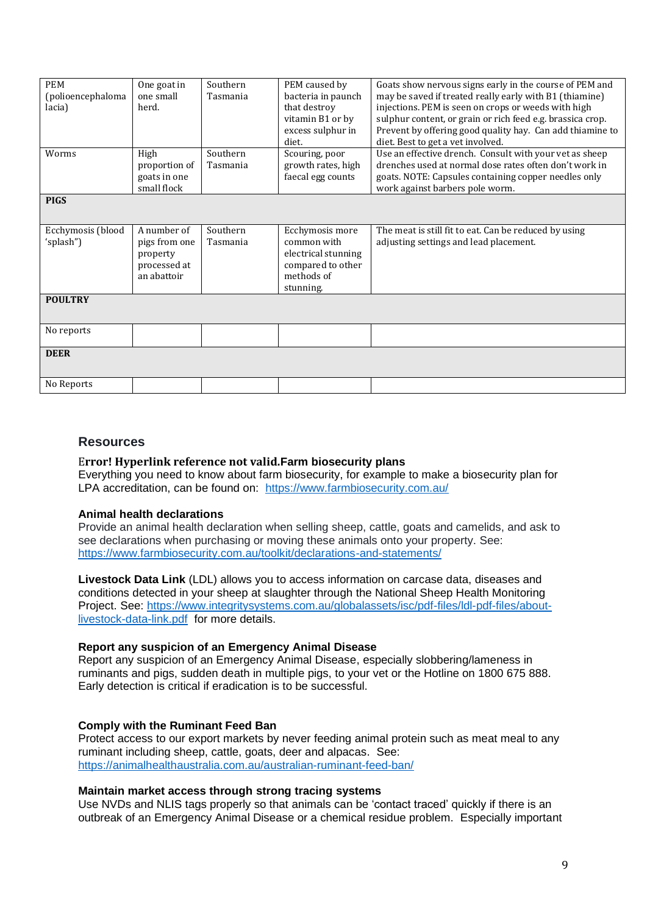| <b>PEM</b><br>(polioencephaloma<br>lacia) | One goat in<br>one small<br>herd.                                       | Southern<br>Tasmania | PEM caused by<br>bacteria in paunch<br>that destroy<br>vitamin B1 or by<br>excess sulphur in<br>diet. | Goats show nervous signs early in the course of PEM and<br>may be saved if treated really early with B1 (thiamine)<br>injections. PEM is seen on crops or weeds with high<br>sulphur content, or grain or rich feed e.g. brassica crop.<br>Prevent by offering good quality hay. Can add thiamine to<br>diet. Best to get a vet involved. |
|-------------------------------------------|-------------------------------------------------------------------------|----------------------|-------------------------------------------------------------------------------------------------------|-------------------------------------------------------------------------------------------------------------------------------------------------------------------------------------------------------------------------------------------------------------------------------------------------------------------------------------------|
| Worms                                     | High<br>proportion of<br>goats in one<br>small flock                    | Southern<br>Tasmania | Scouring, poor<br>growth rates, high<br>faecal egg counts                                             | Use an effective drench. Consult with your vet as sheep<br>drenches used at normal dose rates often don't work in<br>goats. NOTE: Capsules containing copper needles only<br>work against barbers pole worm.                                                                                                                              |
| <b>PIGS</b>                               |                                                                         |                      |                                                                                                       |                                                                                                                                                                                                                                                                                                                                           |
| Ecchymosis (blood<br>'splash")            | A number of<br>pigs from one<br>property<br>processed at<br>an abattoir | Southern<br>Tasmania | Ecchymosis more<br>common with<br>electrical stunning<br>compared to other<br>methods of<br>stunning. | The meat is still fit to eat. Can be reduced by using<br>adjusting settings and lead placement.                                                                                                                                                                                                                                           |
| <b>POULTRY</b>                            |                                                                         |                      |                                                                                                       |                                                                                                                                                                                                                                                                                                                                           |
| No reports                                |                                                                         |                      |                                                                                                       |                                                                                                                                                                                                                                                                                                                                           |
| <b>DEER</b>                               |                                                                         |                      |                                                                                                       |                                                                                                                                                                                                                                                                                                                                           |
| No Reports                                |                                                                         |                      |                                                                                                       |                                                                                                                                                                                                                                                                                                                                           |

# **Resources**

#### E**rror! Hyperlink reference not valid.Farm biosecurity plans**

Everything you need to know about farm biosecurity, for example to make a biosecurity plan for LPA accreditation, can be found on: <https://www.farmbiosecurity.com.au/>

#### **Animal health declarations**

Provide an animal health declaration when selling sheep, cattle, goats and camelids, and ask to see declarations when purchasing or moving these animals onto your property. See: <https://www.farmbiosecurity.com.au/toolkit/declarations-and-statements/>

**Livestock Data Link** (LDL) allows you to access information on carcase data, diseases and conditions detected in your sheep at slaughter through the National Sheep Health Monitoring Project. See: [https://www.integritysystems.com.au/globalassets/isc/pdf-files/ldl-pdf-files/about](https://www.integritysystems.com.au/globalassets/isc/pdf-files/ldl-pdf-files/about-livestock-data-link.pdf)[livestock-data-link.pdf](https://www.integritysystems.com.au/globalassets/isc/pdf-files/ldl-pdf-files/about-livestock-data-link.pdf) for more details.

#### **Report any suspicion of an Emergency Animal Disease**

Report any suspicion of an Emergency Animal Disease, especially slobbering/lameness in ruminants and pigs, sudden death in multiple pigs, to your vet or the Hotline on 1800 675 888. Early detection is critical if eradication is to be successful.

#### **Comply with the Ruminant Feed Ban**

Protect access to our export markets by never feeding animal protein such as meat meal to any ruminant including sheep, cattle, goats, deer and alpacas. See: <https://animalhealthaustralia.com.au/australian-ruminant-feed-ban/>

#### **Maintain market access through strong tracing systems**

Use NVDs and NLIS tags properly so that animals can be 'contact traced' quickly if there is an outbreak of an Emergency Animal Disease or a chemical residue problem. Especially important